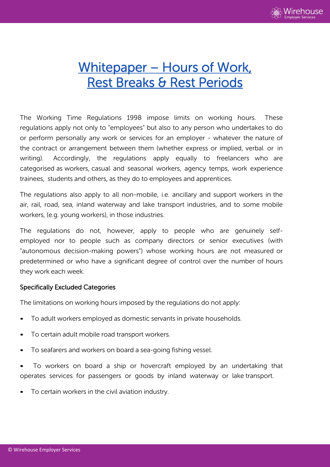

# Whitepaper – Hours of Work, Rest Breaks & Rest Periods

The Working Time Regulations 1998 impose limits on working hours. These regulations apply not only to "employees" but also to any person who undertakes to do or perform personally any work or services for an employer - whatever the nature of the contract or arrangement between them (whether express or implied, verbal or in writing). Accordingly, the regulations apply equally to freelancers who are categorised as workers, casual and seasonal workers, agency temps, work experience trainees, students and others, as they do to employees and apprentices.

The regulations also apply to all non-mobile, i.e. ancillary and support workers in the air, rail, road, sea, inland waterway and lake transport industries, and to some mobile workers, (e.g. young workers), in those industries.

The regulations do not, however, apply to people who are genuinely selfemployed nor to people such as company directors or senior executives (with "autonomous decision-making powers") whose working hours are not measured or predetermined or who have a significant degree of control over the number of hours they work each week.

## Specifically Excluded Categories

The limitations on working hours imposed by the regulations do not apply:

- To adult workers employed as domestic servants in private households.
- To certain adult mobile road transport workers.
- To seafarers and workers on board a sea-going fishing vessel.
- To workers on board a ship or hovercraft employed by an undertaking that operates services for passengers or goods by inland waterway or lake transport.
- To certain workers in the civil aviation industry.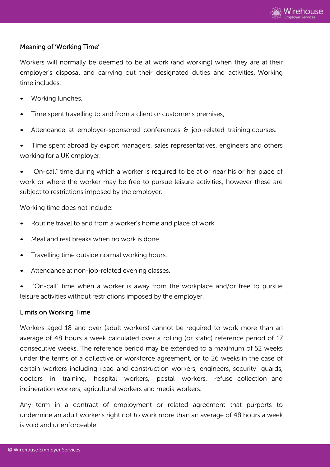

# Meaning of 'Working Time'

Workers will normally be deemed to be at work (and working) when they are at their employer's disposal and carrying out their designated duties and activities. Working time includes:

- Working lunches.
- Time spent travelling to and from a client or customer's premises;
- Attendance at employer-sponsored conferences & job-related training courses.

Time spent abroad by export managers, sales representatives, engineers and others working for a UK employer.

• "On-call" time during which a worker is required to be at or near his or her place of work or where the worker may be free to pursue leisure activities, however these are subject to restrictions imposed by the employer.

Working time does not include:

- Routine travel to and from a worker's home and place of work.
- Meal and rest breaks when no work is done.
- Travelling time outside normal working hours.
- Attendance at non-job-related evening classes.
- "On-call" time when a worker is away from the workplace and/or free to pursue leisure activities without restrictions imposed by the employer.

## Limits on Working Time

Workers aged 18 and over (adult workers) cannot be required to work more than an average of 48 hours a week calculated over a rolling (or static) reference period of 17 consecutive weeks. The reference period may be extended to a maximum of 52 weeks under the terms of a collective or workforce agreement, or to 26 weeks in the case of certain workers including road and construction workers, engineers, security guards, doctors in training, hospital workers, postal workers, refuse collection and incineration workers, agricultural workers and media workers.

Any term in a contract of employment or related agreement that purports to undermine an adult worker's right not to work more than an average of 48 hours a week is void and unenforceable.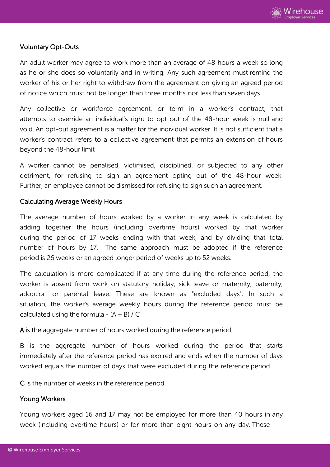

## Voluntary Opt-Outs

An adult worker may agree to work more than an average of 48 hours a week so long as he or she does so voluntarily and in writing. Any such agreement must remind the worker of his or her right to withdraw from the agreement on giving an agreed period of notice which must not be longer than three months nor less than seven days.

Any collective or workforce agreement, or term in a worker's contract, that attempts to override an individual's right to opt out of the 48-hour week is null and void. An opt-out agreement is a matter for the individual worker. It is not sufficient that a worker's contract refers to a collective agreement that permits an extension of hours beyond the 48-hour limit

A worker cannot be penalised, victimised, disciplined, or subjected to any other detriment, for refusing to sign an agreement opting out of the 48-hour week. Further, an employee cannot be dismissed for refusing to sign such an agreement.

## Calculating Average Weekly Hours

The average number of hours worked by a worker in any week is calculated by adding together the hours (including overtime hours) worked by that worker during the period of 17 weeks ending with that week, and by dividing that total number of hours by 17. The same approach must be adopted if the reference period is 26 weeks or an agreed longer period of weeks up to 52 weeks.

The calculation is more complicated if at any time during the reference period, the worker is absent from work on statutory holiday, sick leave or maternity, paternity, adoption or parental leave. These are known as "excluded days". In such a situation, the worker's average weekly hours during the reference period must be calculated using the formula -  $(A + B) / C$ 

A is the aggregate number of hours worked during the reference period;

B is the aggregate number of hours worked during the period that starts immediately after the reference period has expired and ends when the number of days worked equals the number of days that were excluded during the reference period.

C is the number of weeks in the reference period.

## Young Workers

Young workers aged 16 and 17 may not be employed for more than 40 hours in any week (including overtime hours) or for more than eight hours on any day. These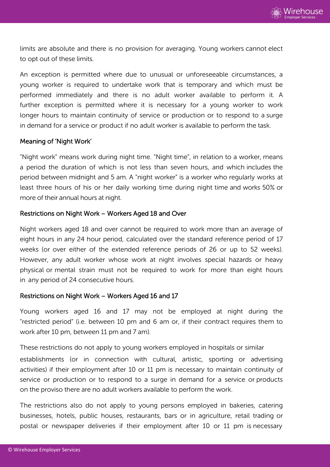

limits are absolute and there is no provision for averaging. Young workers cannot elect to opt out of these limits.

An exception is permitted where due to unusual or unforeseeable circumstances, a young worker is required to undertake work that is temporary and which must be performed immediately and there is no adult worker available to perform it. A further exception is permitted where it is necessary for a young worker to work longer hours to maintain continuity of service or production or to respond to a surge in demand for a service or product if no adult worker is available to perform the task.

#### Meaning of 'Night Work'

"Night work" means work during night time. "Night time", in relation to a worker, means a period the duration of which is not less than seven hours, and which includes the period between midnight and 5 am. A "night worker" is a worker who regularly works at least three hours of his or her daily working time during night time and works 50% or more of their annual hours at night.

#### Restrictions on Night Work – Workers Aged 18 and Over

Night workers aged 18 and over cannot be required to work more than an average of eight hours in any 24 hour period, calculated over the standard reference period of 17 weeks (or over either of the extended reference periods of 26 or up to 52 weeks). However, any adult worker whose work at night involves special hazards or heavy physical or mental strain must not be required to work for more than eight hours in any period of 24 consecutive hours.

#### Restrictions on Night Work – Workers Aged 16 and 17

Young workers aged 16 and 17 may not be employed at night during the "restricted period" (i.e. between 10 pm and 6 am or, if their contract requires them to work after 10 pm, between 11 pm and 7 am).

These restrictions do not apply to young workers employed in hospitals or similar

establishments (or in connection with cultural, artistic, sporting or advertising activities) if their employment after 10 or 11 pm is necessary to maintain continuity of service or production or to respond to a surge in demand for a service or products on the proviso there are no adult workers available to perform the work.

The restrictions also do not apply to young persons employed in bakeries, catering businesses, hotels, public houses, restaurants, bars or in agriculture, retail trading or postal or newspaper deliveries if their employment after 10 or 11 pm is necessary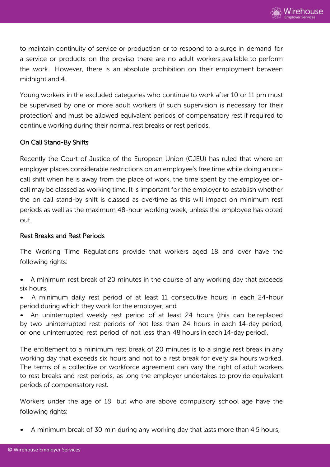

to maintain continuity of service or production or to respond to a surge in demand for a service or products on the proviso there are no adult workers available to perform the work. However, there is an absolute prohibition on their employment between midnight and 4.

Young workers in the excluded categories who continue to work after 10 or 11 pm must be supervised by one or more adult workers (if such supervision is necessary for their protection) and must be allowed equivalent periods of compensatory rest if required to continue working during their normal rest breaks or rest periods.

## On Call Stand-By Shifts

Recently the Court of Justice of the European Union (CJEU) has ruled that where an employer places considerable restrictions on an employee's free time while doing an oncall shift when he is away from the place of work, the time spent by the employee oncall may be classed as working time. It is important for the employer to establish whether the on call stand-by shift is classed as overtime as this will impact on minimum rest periods as well as the maximum 48-hour working week, unless the employee has opted out.

## Rest Breaks and Rest Periods

The Working Time Regulations provide that workers aged 18 and over have the following rights:

- A minimum rest break of 20 minutes in the course of any working day that exceeds six hours;
- A minimum daily rest period of at least 11 consecutive hours in each 24-hour period during which they work for the employer; and

• An uninterrupted weekly rest period of at least 24 hours (this can be replaced by two uninterrupted rest periods of not less than 24 hours in each 14-day period, or one uninterrupted rest period of not less than 48 hours in each 14-day period).

The entitlement to a minimum rest break of 20 minutes is to a single rest break in any working day that exceeds six hours and not to a rest break for every six hours worked. The terms of a collective or workforce agreement can vary the right of adult workers to rest breaks and rest periods, as long the employer undertakes to provide equivalent periods of compensatory rest.

Workers under the age of 18 but who are above compulsory school age have the following rights:

• A minimum break of 30 min during any working day that lasts more than 4.5 hours;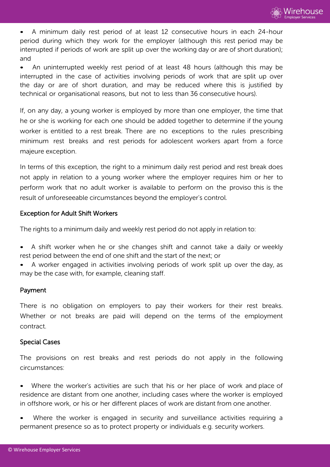• A minimum daily rest period of at least 12 consecutive hours in each 24-hour period during which they work for the employer (although this rest period may be interrupted if periods of work are split up over the working day or are of short duration); and

• An uninterrupted weekly rest period of at least 48 hours (although this may be interrupted in the case of activities involving periods of work that are split up over the day or are of short duration, and may be reduced where this is justified by technical or organisational reasons, but not to less than 36 consecutive hours).

If, on any day, a young worker is employed by more than one employer, the time that he or she is working for each one should be added together to determine if the young worker is entitled to a rest break. There are no exceptions to the rules prescribing minimum rest breaks and rest periods for adolescent workers apart from a force majeure exception.

In terms of this exception, the right to a minimum daily rest period and rest break does not apply in relation to a young worker where the employer requires him or her to perform work that no adult worker is available to perform on the proviso this is the result of unforeseeable circumstances beyond the employer's control.

# Exception for Adult Shift Workers

The rights to a minimum daily and weekly rest period do not apply in relation to:

- A shift worker when he or she changes shift and cannot take a daily or weekly rest period between the end of one shift and the start of the next; or
- A worker engaged in activities involving periods of work split up over the day, as may be the case with, for example, cleaning staff.

# Payment

There is no obligation on employers to pay their workers for their rest breaks. Whether or not breaks are paid will depend on the terms of the employment contract.

# Special Cases

The provisions on rest breaks and rest periods do not apply in the following circumstances:

Where the worker's activities are such that his or her place of work and place of residence are distant from one another, including cases where the worker is employed in offshore work, or his or her different places of work are distant from one another.

Where the worker is engaged in security and surveillance activities requiring a permanent presence so as to protect property or individuals e.g. security workers.